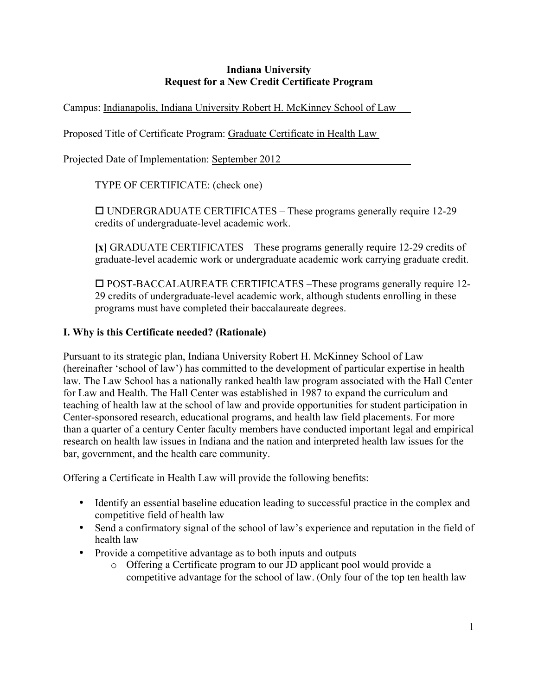#### **Indiana University Request for a New Credit Certificate Program**

Campus: Indianapolis, Indiana University Robert H. McKinney School of Law

Proposed Title of Certificate Program: Graduate Certificate in Health Law

Projected Date of Implementation: September 2012

TYPE OF CERTIFICATE: (check one)

 UNDERGRADUATE CERTIFICATES – These programs generally require 12-29 credits of undergraduate-level academic work.

**[x]** GRADUATE CERTIFICATES – These programs generally require 12-29 credits of graduate-level academic work or undergraduate academic work carrying graduate credit.

 POST-BACCALAUREATE CERTIFICATES –These programs generally require 12- 29 credits of undergraduate-level academic work, although students enrolling in these programs must have completed their baccalaureate degrees.

## **I. Why is this Certificate needed? (Rationale)**

Pursuant to its strategic plan, Indiana University Robert H. McKinney School of Law (hereinafter 'school of law') has committed to the development of particular expertise in health law. The Law School has a nationally ranked health law program associated with the Hall Center for Law and Health. The Hall Center was established in 1987 to expand the curriculum and teaching of health law at the school of law and provide opportunities for student participation in Center-sponsored research, educational programs, and health law field placements. For more than a quarter of a century Center faculty members have conducted important legal and empirical research on health law issues in Indiana and the nation and interpreted health law issues for the bar, government, and the health care community.

Offering a Certificate in Health Law will provide the following benefits:

- Identify an essential baseline education leading to successful practice in the complex and competitive field of health law
- Send a confirmatory signal of the school of law's experience and reputation in the field of health law
- Provide a competitive advantage as to both inputs and outputs
	- o Offering a Certificate program to our JD applicant pool would provide a competitive advantage for the school of law. (Only four of the top ten health law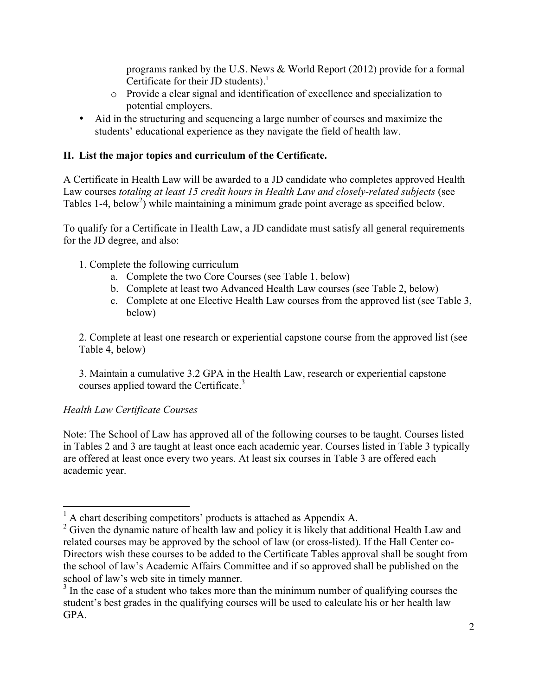programs ranked by the U.S. News & World Report (2012) provide for a formal Certificate for their JD students). $<sup>1</sup>$ </sup>

- o Provide a clear signal and identification of excellence and specialization to potential employers.
- Aid in the structuring and sequencing a large number of courses and maximize the students' educational experience as they navigate the field of health law.

## **II. List the major topics and curriculum of the Certificate.**

A Certificate in Health Law will be awarded to a JD candidate who completes approved Health Law courses *totaling at least 15 credit hours in Health Law and closely-related subjects* (see Tables 1-4, below<sup>2</sup>) while maintaining a minimum grade point average as specified below.

To qualify for a Certificate in Health Law, a JD candidate must satisfy all general requirements for the JD degree, and also:

- 1. Complete the following curriculum
	- a. Complete the two Core Courses (see Table 1, below)
	- b. Complete at least two Advanced Health Law courses (see Table 2, below)
	- c. Complete at one Elective Health Law courses from the approved list (see Table 3, below)

2. Complete at least one research or experiential capstone course from the approved list (see Table 4, below)

3. Maintain a cumulative 3.2 GPA in the Health Law, research or experiential capstone courses applied toward the Certificate.<sup>3</sup>

#### *Health Law Certificate Courses*

Note: The School of Law has approved all of the following courses to be taught. Courses listed in Tables 2 and 3 are taught at least once each academic year. Courses listed in Table 3 typically are offered at least once every two years. At least six courses in Table 3 are offered each academic year.

 $<sup>1</sup>$  A chart describing competitors' products is attached as Appendix A.</sup>

<sup>&</sup>lt;sup>2</sup> Given the dynamic nature of health law and policy it is likely that additional Health Law and related courses may be approved by the school of law (or cross-listed). If the Hall Center co-Directors wish these courses to be added to the Certificate Tables approval shall be sought from the school of law's Academic Affairs Committee and if so approved shall be published on the

school of law's web site in timely manner.<br><sup>3</sup> In the case of a student who takes more than the minimum number of qualifying courses the student's best grades in the qualifying courses will be used to calculate his or her health law GPA.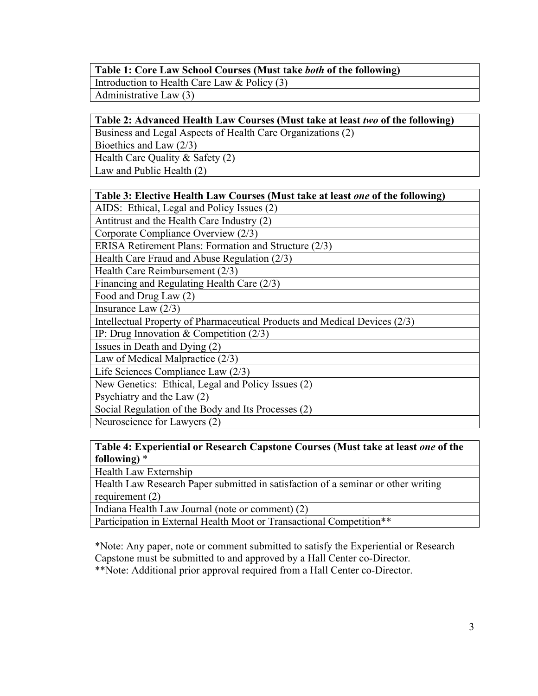#### **Table 1: Core Law School Courses (Must take** *both* **of the following)**

Introduction to Health Care Law & Policy (3)

Administrative Law (3)

#### **Table 2: Advanced Health Law Courses (Must take at least** *two* **of the following)**

Business and Legal Aspects of Health Care Organizations (2)

Bioethics and Law (2/3)

Health Care Quality & Safety (2)

Law and Public Health (2)

| Table 3: Elective Health Law Courses (Must take at least one of the following) |  |  |  |
|--------------------------------------------------------------------------------|--|--|--|
|--------------------------------------------------------------------------------|--|--|--|

AIDS: Ethical, Legal and Policy Issues (2)

Antitrust and the Health Care Industry (2)

Corporate Compliance Overview (2/3)

ERISA Retirement Plans: Formation and Structure (2/3)

Health Care Fraud and Abuse Regulation (2/3)

Health Care Reimbursement (2/3)

Financing and Regulating Health Care (2/3)

Food and Drug Law (2)

Insurance Law (2/3)

Intellectual Property of Pharmaceutical Products and Medical Devices (2/3)

IP: Drug Innovation & Competition (2/3)

Issues in Death and Dying (2)

Law of Medical Malpractice (2/3)

Life Sciences Compliance Law (2/3)

New Genetics: Ethical, Legal and Policy Issues (2)

Psychiatry and the Law (2)

Social Regulation of the Body and Its Processes (2)

Neuroscience for Lawyers (2)

### **Table 4: Experiential or Research Capstone Courses (Must take at least** *one* **of the following)** \*

Health Law Externship

Health Law Research Paper submitted in satisfaction of a seminar or other writing requirement  $(2)$ 

Indiana Health Law Journal (note or comment) (2)

Participation in External Health Moot or Transactional Competition\*\*

\*Note: Any paper, note or comment submitted to satisfy the Experiential or Research Capstone must be submitted to and approved by a Hall Center co-Director.

\*\*Note: Additional prior approval required from a Hall Center co-Director.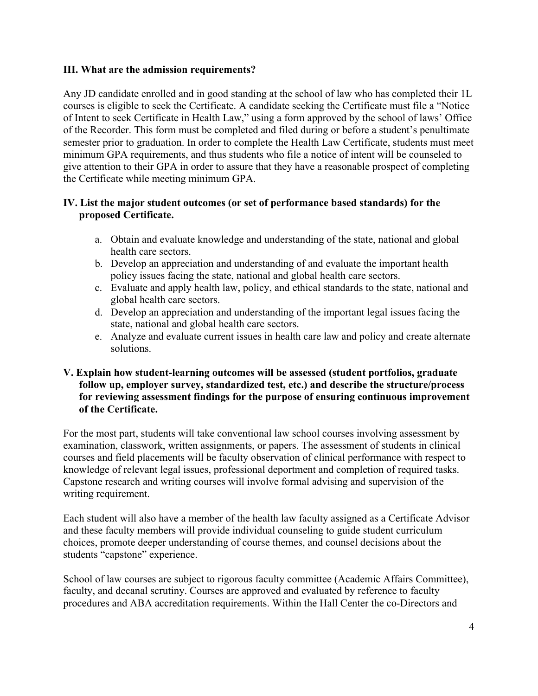#### **III. What are the admission requirements?**

Any JD candidate enrolled and in good standing at the school of law who has completed their 1L courses is eligible to seek the Certificate. A candidate seeking the Certificate must file a "Notice of Intent to seek Certificate in Health Law," using a form approved by the school of laws' Office of the Recorder. This form must be completed and filed during or before a student's penultimate semester prior to graduation. In order to complete the Health Law Certificate, students must meet minimum GPA requirements, and thus students who file a notice of intent will be counseled to give attention to their GPA in order to assure that they have a reasonable prospect of completing the Certificate while meeting minimum GPA.

## **IV. List the major student outcomes (or set of performance based standards) for the proposed Certificate.**

- a. Obtain and evaluate knowledge and understanding of the state, national and global health care sectors.
- b. Develop an appreciation and understanding of and evaluate the important health policy issues facing the state, national and global health care sectors.
- c. Evaluate and apply health law, policy, and ethical standards to the state, national and global health care sectors.
- d. Develop an appreciation and understanding of the important legal issues facing the state, national and global health care sectors.
- e. Analyze and evaluate current issues in health care law and policy and create alternate solutions.

#### **V. Explain how student-learning outcomes will be assessed (student portfolios, graduate follow up, employer survey, standardized test, etc.) and describe the structure/process for reviewing assessment findings for the purpose of ensuring continuous improvement of the Certificate.**

For the most part, students will take conventional law school courses involving assessment by examination, classwork, written assignments, or papers. The assessment of students in clinical courses and field placements will be faculty observation of clinical performance with respect to knowledge of relevant legal issues, professional deportment and completion of required tasks. Capstone research and writing courses will involve formal advising and supervision of the writing requirement.

Each student will also have a member of the health law faculty assigned as a Certificate Advisor and these faculty members will provide individual counseling to guide student curriculum choices, promote deeper understanding of course themes, and counsel decisions about the students "capstone" experience.

School of law courses are subject to rigorous faculty committee (Academic Affairs Committee), faculty, and decanal scrutiny. Courses are approved and evaluated by reference to faculty procedures and ABA accreditation requirements. Within the Hall Center the co-Directors and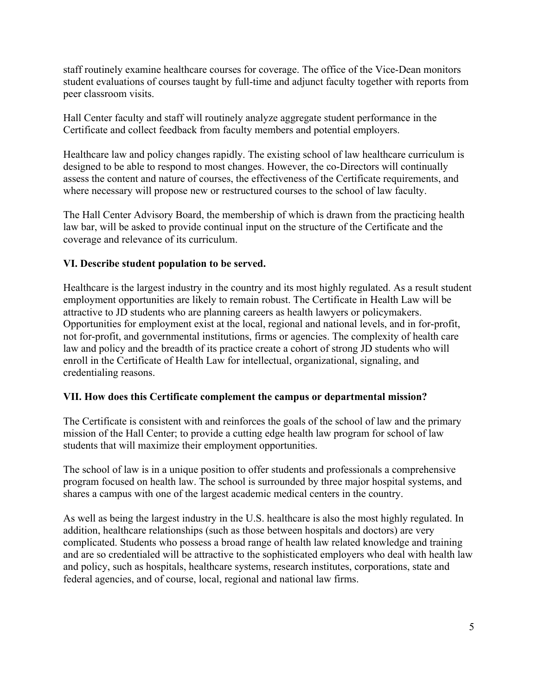staff routinely examine healthcare courses for coverage. The office of the Vice-Dean monitors student evaluations of courses taught by full-time and adjunct faculty together with reports from peer classroom visits.

Hall Center faculty and staff will routinely analyze aggregate student performance in the Certificate and collect feedback from faculty members and potential employers.

Healthcare law and policy changes rapidly. The existing school of law healthcare curriculum is designed to be able to respond to most changes. However, the co-Directors will continually assess the content and nature of courses, the effectiveness of the Certificate requirements, and where necessary will propose new or restructured courses to the school of law faculty.

The Hall Center Advisory Board, the membership of which is drawn from the practicing health law bar, will be asked to provide continual input on the structure of the Certificate and the coverage and relevance of its curriculum.

## **VI. Describe student population to be served.**

Healthcare is the largest industry in the country and its most highly regulated. As a result student employment opportunities are likely to remain robust. The Certificate in Health Law will be attractive to JD students who are planning careers as health lawyers or policymakers. Opportunities for employment exist at the local, regional and national levels, and in for-profit, not for-profit, and governmental institutions, firms or agencies. The complexity of health care law and policy and the breadth of its practice create a cohort of strong JD students who will enroll in the Certificate of Health Law for intellectual, organizational, signaling, and credentialing reasons.

#### **VII. How does this Certificate complement the campus or departmental mission?**

The Certificate is consistent with and reinforces the goals of the school of law and the primary mission of the Hall Center; to provide a cutting edge health law program for school of law students that will maximize their employment opportunities.

The school of law is in a unique position to offer students and professionals a comprehensive program focused on health law. The school is surrounded by three major hospital systems, and shares a campus with one of the largest academic medical centers in the country.

As well as being the largest industry in the U.S. healthcare is also the most highly regulated. In addition, healthcare relationships (such as those between hospitals and doctors) are very complicated. Students who possess a broad range of health law related knowledge and training and are so credentialed will be attractive to the sophisticated employers who deal with health law and policy, such as hospitals, healthcare systems, research institutes, corporations, state and federal agencies, and of course, local, regional and national law firms.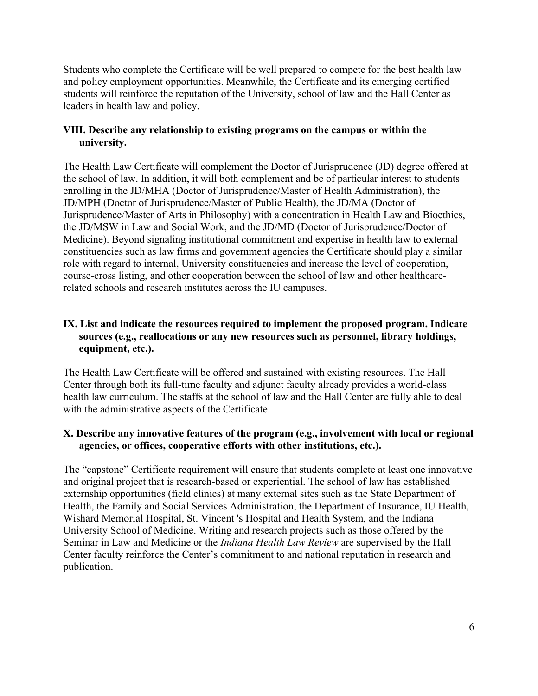Students who complete the Certificate will be well prepared to compete for the best health law and policy employment opportunities. Meanwhile, the Certificate and its emerging certified students will reinforce the reputation of the University, school of law and the Hall Center as leaders in health law and policy.

#### **VIII. Describe any relationship to existing programs on the campus or within the university.**

The Health Law Certificate will complement the Doctor of Jurisprudence (JD) degree offered at the school of law. In addition, it will both complement and be of particular interest to students enrolling in the JD/MHA (Doctor of Jurisprudence/Master of Health Administration), the JD/MPH (Doctor of Jurisprudence/Master of Public Health), the JD/MA (Doctor of Jurisprudence/Master of Arts in Philosophy) with a concentration in Health Law and Bioethics, the JD/MSW in Law and Social Work, and the JD/MD (Doctor of Jurisprudence/Doctor of Medicine). Beyond signaling institutional commitment and expertise in health law to external constituencies such as law firms and government agencies the Certificate should play a similar role with regard to internal, University constituencies and increase the level of cooperation, course-cross listing, and other cooperation between the school of law and other healthcarerelated schools and research institutes across the IU campuses.

## **IX. List and indicate the resources required to implement the proposed program. Indicate sources (e.g., reallocations or any new resources such as personnel, library holdings, equipment, etc.).**

The Health Law Certificate will be offered and sustained with existing resources. The Hall Center through both its full-time faculty and adjunct faculty already provides a world-class health law curriculum. The staffs at the school of law and the Hall Center are fully able to deal with the administrative aspects of the Certificate.

#### **X. Describe any innovative features of the program (e.g., involvement with local or regional agencies, or offices, cooperative efforts with other institutions, etc.).**

The "capstone" Certificate requirement will ensure that students complete at least one innovative and original project that is research-based or experiential. The school of law has established externship opportunities (field clinics) at many external sites such as the State Department of Health, the Family and Social Services Administration, the Department of Insurance, IU Health, Wishard Memorial Hospital, St. Vincent 's Hospital and Health System, and the Indiana University School of Medicine. Writing and research projects such as those offered by the Seminar in Law and Medicine or the *Indiana Health Law Review* are supervised by the Hall Center faculty reinforce the Center's commitment to and national reputation in research and publication.